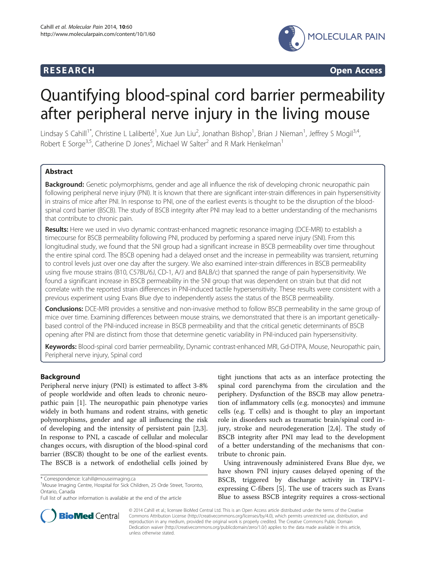# **RESEARCH CHINESEARCH CHINESEARCH CHINESE**



# Quantifying blood-spinal cord barrier permeability after peripheral nerve injury in the living mouse

Lindsay S Cahill<sup>1\*</sup>, Christine L Laliberté<sup>1</sup>, Xue Jun Liu<sup>2</sup>, Jonathan Bishop<sup>1</sup>, Brian J Nieman<sup>1</sup>, Jeffrey S Mogil<sup>3,4</sup>, Robert E Sorge<sup>3,5</sup>, Catherine D Jones<sup>5</sup>, Michael W Salter<sup>2</sup> and R Mark Henkelman<sup>1</sup>

# Abstract

Background: Genetic polymorphisms, gender and age all influence the risk of developing chronic neuropathic pain following peripheral nerve injury (PNI). It is known that there are significant inter-strain differences in pain hypersensitivity in strains of mice after PNI. In response to PNI, one of the earliest events is thought to be the disruption of the bloodspinal cord barrier (BSCB). The study of BSCB integrity after PNI may lead to a better understanding of the mechanisms that contribute to chronic pain.

Results: Here we used in vivo dynamic contrast-enhanced magnetic resonance imaging (DCE-MRI) to establish a timecourse for BSCB permeability following PNI, produced by performing a spared nerve injury (SNI). From this longitudinal study, we found that the SNI group had a significant increase in BSCB permeability over time throughout the entire spinal cord. The BSCB opening had a delayed onset and the increase in permeability was transient, returning to control levels just over one day after the surgery. We also examined inter-strain differences in BSCB permeability using five mouse strains (B10, C57BL/6J, CD-1, A/J and BALB/c) that spanned the range of pain hypersensitivity. We found a significant increase in BSCB permeability in the SNI group that was dependent on strain but that did not correlate with the reported strain differences in PNI-induced tactile hypersensitivity. These results were consistent with a previous experiment using Evans Blue dye to independently assess the status of the BSCB permeability.

Conclusions: DCE-MRI provides a sensitive and non-invasive method to follow BSCB permeability in the same group of mice over time. Examining differences between mouse strains, we demonstrated that there is an important geneticallybased control of the PNI-induced increase in BSCB permeability and that the critical genetic determinants of BSCB opening after PNI are distinct from those that determine genetic variability in PNI-induced pain hypersensitivity.

Keywords: Blood-spinal cord barrier permeability, Dynamic contrast-enhanced MRI, Gd-DTPA, Mouse, Neuropathic pain, Peripheral nerve injury, Spinal cord

# Background

Peripheral nerve injury (PNI) is estimated to affect 3-8% of people worldwide and often leads to chronic neuropathic pain [[1\]](#page-6-0). The neuropathic pain phenotype varies widely in both humans and rodent strains, with genetic polymorphisms, gender and age all influencing the risk of developing and the intensity of persistent pain [\[2,3](#page-6-0)]. In response to PNI, a cascade of cellular and molecular changes occurs, with disruption of the blood-spinal cord barrier (BSCB) thought to be one of the earliest events. The BSCB is a network of endothelial cells joined by

tight junctions that acts as an interface protecting the spinal cord parenchyma from the circulation and the periphery. Dysfunction of the BSCB may allow penetration of inflammatory cells (e.g. monocytes) and immune cells (e.g. T cells) and is thought to play an important role in disorders such as traumatic brain/spinal cord injury, stroke and neurodegeneration [\[2,4](#page-6-0)]. The study of BSCB integrity after PNI may lead to the development of a better understanding of the mechanisms that contribute to chronic pain.

Using intravenously administered Evans Blue dye, we have shown PNI injury causes delayed opening of the BSCB, triggered by discharge activity in TRPV1 expressing C-fibers [[5\]](#page-6-0). The use of tracers such as Evans Blue to assess BSCB integrity requires a cross-sectional



© 2014 Cahill et al.; licensee BioMed Central Ltd. This is an Open Access article distributed under the terms of the Creative Commons Attribution License [\(http://creativecommons.org/licenses/by/4.0\)](http://creativecommons.org/licenses/by/4.0), which permits unrestricted use, distribution, and reproduction in any medium, provided the original work is properly credited. The Creative Commons Public Domain Dedication waiver [\(http://creativecommons.org/publicdomain/zero/1.0/](http://creativecommons.org/publicdomain/zero/1.0/)) applies to the data made available in this article, unless otherwise stated.

<sup>\*</sup> Correspondence: [lcahill@mouseimaging.ca](mailto:lcahill@mouseimaging.ca) <sup>1</sup>

<sup>&</sup>lt;sup>1</sup> Mouse Imaging Centre, Hospital for Sick Children, 25 Orde Street, Toronto, Ontario, Canada

Full list of author information is available at the end of the article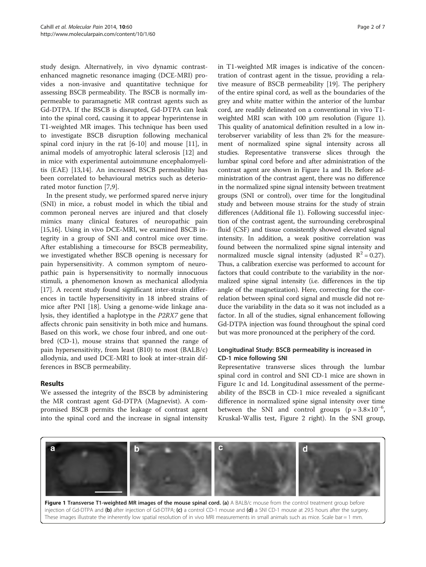study design. Alternatively, in vivo dynamic contrastenhanced magnetic resonance imaging (DCE-MRI) provides a non-invasive and quantitative technique for assessing BSCB permeability. The BSCB is normally impermeable to paramagnetic MR contrast agents such as Gd-DTPA. If the BSCB is disrupted, Gd-DTPA can leak into the spinal cord, causing it to appear hyperintense in T1-weighted MR images. This technique has been used to investigate BSCB disruption following mechanical spinal cord injury in the rat [[6-10](#page-6-0)] and mouse [\[11\]](#page-6-0), in animal models of amyotrophic lateral sclerosis [[12](#page-6-0)] and in mice with experimental autoimmune encephalomyelitis (EAE) [[13,14\]](#page-6-0). An increased BSCB permeability has been correlated to behavioural metrics such as deteriorated motor function [\[7,9](#page-6-0)].

In the present study, we performed spared nerve injury (SNI) in mice, a robust model in which the tibial and common peroneal nerves are injured and that closely mimics many clinical features of neuropathic pain [[15,16\]](#page-6-0). Using in vivo DCE-MRI, we examined BSCB integrity in a group of SNI and control mice over time. After establishing a timecourse for BSCB permeability, we investigated whether BSCB opening is necessary for pain hypersensitivity. A common symptom of neuropathic pain is hypersensitivity to normally innocuous stimuli, a phenomenon known as mechanical allodynia [[17\]](#page-6-0). A recent study found significant inter-strain differences in tactile hypersensitivity in 18 inbred strains of mice after PNI [\[18\]](#page-6-0). Using a genome-wide linkage analysis, they identified a haplotype in the P2RX7 gene that affects chronic pain sensitivity in both mice and humans. Based on this work, we chose four inbred, and one outbred (CD-1), mouse strains that spanned the range of pain hypersensitivity, from least (B10) to most (BALB/c) allodynia, and used DCE-MRI to look at inter-strain differences in BSCB permeability.

# Results

We assessed the integrity of the BSCB by administering the MR contrast agent Gd-DTPA (Magnevist). A compromised BSCB permits the leakage of contrast agent into the spinal cord and the increase in signal intensity in T1-weighted MR images is indicative of the concentration of contrast agent in the tissue, providing a relative measure of BSCB permeability [[19\]](#page-6-0). The periphery of the entire spinal cord, as well as the boundaries of the grey and white matter within the anterior of the lumbar cord, are readily delineated on a conventional in vivo T1 weighted MRI scan with 100 μm resolution (Figure 1). This quality of anatomical definition resulted in a low interobserver variability of less than 2% for the measurement of normalized spine signal intensity across all studies. Representative transverse slices through the lumbar spinal cord before and after administration of the contrast agent are shown in Figure 1a and 1b. Before administration of the contrast agent, there was no difference in the normalized spine signal intensity between treatment groups (SNI or control), over time for the longitudinal study and between mouse strains for the study of strain differences (Additional file [1](#page-5-0)). Following successful injection of the contrast agent, the surrounding cerebrospinal fluid (CSF) and tissue consistently showed elevated signal intensity. In addition, a weak positive correlation was found between the normalized spine signal intensity and normalized muscle signal intensity (adjusted  $R^2 = 0.27$ ). Thus, a calibration exercise was performed to account for factors that could contribute to the variability in the normalized spine signal intensity (i.e. differences in the tip angle of the magnetization). Here, correcting for the correlation between spinal cord signal and muscle did not reduce the variability in the data so it was not included as a factor. In all of the studies, signal enhancement following Gd-DTPA injection was found throughout the spinal cord but was more pronounced at the periphery of the cord.

# Longitudinal Study: BSCB permeability is increased in CD-1 mice following SNI

Representative transverse slices through the lumbar spinal cord in control and SNI CD-1 mice are shown in Figure 1c and 1d. Longitudinal assessment of the permeability of the BSCB in CD-1 mice revealed a significant difference in normalized spine signal intensity over time between the SNI and control groups  $(p = 3.8 \times 10^{-6})$ Kruskal-Wallis test, Figure [2](#page-2-0) right). In the SNI group,

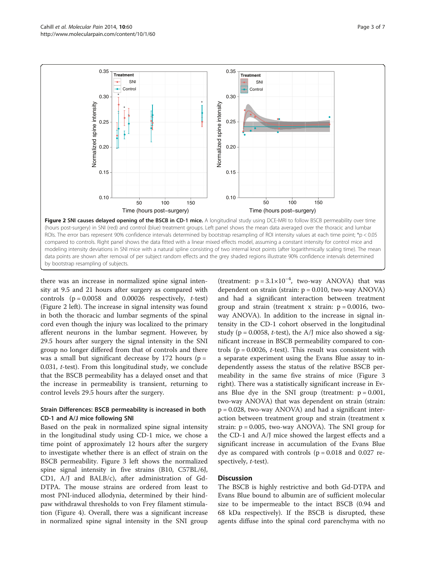<span id="page-2-0"></span>

data points are shown after removal of per subject random effects and the grey shaded regions illustrate 90% confidence intervals determined

there was an increase in normalized spine signal intensity at 9.5 and 21 hours after surgery as compared with controls  $(p = 0.0058$  and 0.00026 respectively, *t*-test) (Figure 2 left). The increase in signal intensity was found in both the thoracic and lumbar segments of the spinal cord even though the injury was localized to the primary afferent neurons in the lumbar segment. However, by 29.5 hours after surgery the signal intensity in the SNI group no longer differed from that of controls and there was a small but significant decrease by 172 hours ( $p =$ 0.031, t-test). From this longitudinal study, we conclude that the BSCB permeability has a delayed onset and that the increase in permeability is transient, returning to control levels 29.5 hours after the surgery.

by bootstrap resampling of subjects.

# Strain Differences: BSCB permeability is increased in both CD-1 and A/J mice following SNI

Based on the peak in normalized spine signal intensity in the longitudinal study using CD-1 mice, we chose a time point of approximately 12 hours after the surgery to investigate whether there is an effect of strain on the BSCB permeability. Figure [3](#page-3-0) left shows the normalized spine signal intensity in five strains (B10, C57BL/6J, CD1, A/J and BALB/c), after administration of Gd-DTPA. The mouse strains are ordered from least to most PNI-induced allodynia, determined by their hindpaw withdrawal thresholds to von Frey filament stimulation (Figure [4\)](#page-3-0). Overall, there was a significant increase in normalized spine signal intensity in the SNI group

(treatment:  $p = 3.1 \times 10^{-4}$ , two-way ANOVA) that was dependent on strain (strain: p = 0.010, two-way ANOVA) and had a significant interaction between treatment group and strain (treatment x strain:  $p = 0.0016$ , twoway ANOVA). In addition to the increase in signal intensity in the CD-1 cohort observed in the longitudinal study ( $p = 0.0058$ , *t*-test), the A/J mice also showed a significant increase in BSCB permeability compared to controls ( $p = 0.0026$ , *t*-test). This result was consistent with a separate experiment using the Evans Blue assay to independently assess the status of the relative BSCB permeability in the same five strains of mice (Figure [3](#page-3-0) right). There was a statistically significant increase in Evans Blue dye in the SNI group (treatment:  $p = 0.001$ , two-way ANOVA) that was dependent on strain (strain: p = 0.028, two-way ANOVA) and had a significant interaction between treatment group and strain (treatment x strain:  $p = 0.005$ , two-way ANOVA). The SNI group for the CD-1 and A/J mice showed the largest effects and a significant increase in accumulation of the Evans Blue dye as compared with controls  $(p = 0.018$  and 0.027 respectively, t-test).

# **Discussion**

The BSCB is highly restrictive and both Gd-DTPA and Evans Blue bound to albumin are of sufficient molecular size to be impermeable to the intact BSCB (0.94 and 68 kDa respectively). If the BSCB is disrupted, these agents diffuse into the spinal cord parenchyma with no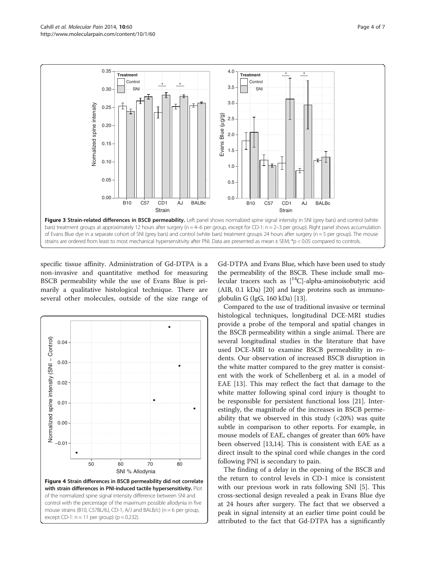<span id="page-3-0"></span>

specific tissue affinity. Administration of Gd-DTPA is a non-invasive and quantitative method for measuring BSCB permeability while the use of Evans Blue is primarily a qualitative histological technique. There are several other molecules, outside of the size range of



Gd-DTPA and Evans Blue, which have been used to study the permeability of the BSCB. These include small molecular tracers such as  $[{}^{14}C]$ -alpha-aminoisobutyric acid (AIB, 0.1 kDa) [\[20](#page-6-0)] and large proteins such as immunoglobulin G (IgG, 160 kDa) [\[13](#page-6-0)].

Compared to the use of traditional invasive or terminal histological techniques, longitudinal DCE-MRI studies provide a probe of the temporal and spatial changes in the BSCB permeability within a single animal. There are several longitudinal studies in the literature that have used DCE-MRI to examine BSCB permeability in rodents. Our observation of increased BSCB disruption in the white matter compared to the grey matter is consistent with the work of Schellenberg et al. in a model of EAE [\[13\]](#page-6-0). This may reflect the fact that damage to the white matter following spinal cord injury is thought to be responsible for persistent functional loss [[21\]](#page-6-0). Interestingly, the magnitude of the increases in BSCB permeability that we observed in this study  $( $20\%$ )$  was quite subtle in comparison to other reports. For example, in mouse models of EAE, changes of greater than 60% have been observed [\[13,14\]](#page-6-0). This is consistent with EAE as a direct insult to the spinal cord while changes in the cord following PNI is secondary to pain.

The finding of a delay in the opening of the BSCB and the return to control levels in CD-1 mice is consistent with our previous work in rats following SNI [[5\]](#page-6-0). This cross-sectional design revealed a peak in Evans Blue dye at 24 hours after surgery. The fact that we observed a peak in signal intensity at an earlier time point could be attributed to the fact that Gd-DTPA has a significantly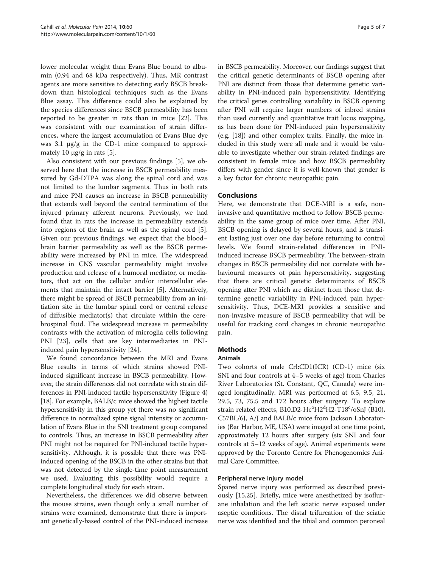lower molecular weight than Evans Blue bound to albumin (0.94 and 68 kDa respectively). Thus, MR contrast agents are more sensitive to detecting early BSCB breakdown than histological techniques such as the Evans Blue assay. This difference could also be explained by the species differences since BSCB permeability has been reported to be greater in rats than in mice [[22](#page-6-0)]. This was consistent with our examination of strain differences, where the largest accumulation of Evans Blue dye was 3.1 μg/g in the CD-1 mice compared to approximately 10  $\mu$ g/g in rats [[5\]](#page-6-0).

Also consistent with our previous findings [\[5](#page-6-0)], we observed here that the increase in BSCB permeability measured by Gd-DTPA was along the spinal cord and was not limited to the lumbar segments. Thus in both rats and mice PNI causes an increase in BSCB permeability that extends well beyond the central termination of the injured primary afferent neurons. Previously, we had found that in rats the increase in permeability extends into regions of the brain as well as the spinal cord [\[5](#page-6-0)]. Given our previous findings, we expect that the blood– brain barrier permeability as well as the BSCB permeability were increased by PNI in mice. The widespread increase in CNS vascular permeability might involve production and release of a humoral mediator, or mediators, that act on the cellular and/or intercellular elements that maintain the intact barrier [\[5](#page-6-0)]. Alternatively, there might be spread of BSCB permeability from an initiation site in the lumbar spinal cord or central release of diffusible mediator(s) that circulate within the cerebrospinal fluid. The widespread increase in permeability contrasts with the activation of microglia cells following PNI [[23\]](#page-6-0), cells that are key intermediaries in PNIinduced pain hypersensitivity [\[24\]](#page-6-0).

We found concordance between the MRI and Evans Blue results in terms of which strains showed PNIinduced significant increase in BSCB permeability. However, the strain differences did not correlate with strain differences in PNI-induced tactile hypersensitivity (Figure [4](#page-3-0)) [[18](#page-6-0)]. For example, BALB/c mice showed the highest tactile hypersensitivity in this group yet there was no significant difference in normalized spine signal intensity or accumulation of Evans Blue in the SNI treatment group compared to controls. Thus, an increase in BSCB permeability after PNI might not be required for PNI-induced tactile hypersensitivity. Although, it is possible that there was PNIinduced opening of the BSCB in the other strains but that was not detected by the single-time point measurement we used. Evaluating this possibility would require a complete longitudinal study for each strain.

Nevertheless, the differences we did observe between the mouse strains, even though only a small number of strains were examined, demonstrate that there is important genetically-based control of the PNI-induced increase in BSCB permeability. Moreover, our findings suggest that the critical genetic determinants of BSCB opening after PNI are distinct from those that determine genetic variability in PNI-induced pain hypersensitivity. Identifying the critical genes controlling variability in BSCB opening after PNI will require larger numbers of inbred strains than used currently and quantitative trait locus mapping, as has been done for PNI-induced pain hypersensitivity (e.g. [[18](#page-6-0)]) and other complex traits. Finally, the mice included in this study were all male and it would be valuable to investigate whether our strain-related findings are consistent in female mice and how BSCB permeability differs with gender since it is well-known that gender is a key factor for chronic neuropathic pain.

# Conclusions

Here, we demonstrate that DCE-MRI is a safe, noninvasive and quantitative method to follow BSCB permeability in the same group of mice over time. After PNI, BSCB opening is delayed by several hours, and is transient lasting just over one day before returning to control levels. We found strain-related differences in PNIinduced increase BSCB permeability. The between-strain changes in BSCB permeability did not correlate with behavioural measures of pain hypersensitivity, suggesting that there are critical genetic determinants of BSCB opening after PNI which are distinct from those that determine genetic variability in PNI-induced pain hypersensitivity. Thus, DCE-MRI provides a sensitive and non-invasive measure of BSCB permeability that will be useful for tracking cord changes in chronic neuropathic pain.

# **Methods**

#### Animals

Two cohorts of male Crl:CD1(ICR) (CD-1) mice (six SNI and four controls at 4–5 weeks of age) from Charles River Laboratories (St. Constant, QC, Canada) were imaged longitudinally. MRI was performed at 6.5, 9.5, 21, 29.5, 73, 75.5 and 172 hours after surgery. To explore strain related effects, B10.D2-Hc°H2<sup>d</sup>H2-T18<sup>c</sup>/oSnJ (B10), C57BL/6J, A/J and BALB/c mice from Jackson Laboratories (Bar Harbor, ME, USA) were imaged at one time point, approximately 12 hours after surgery (six SNI and four controls at 5–12 weeks of age). Animal experiments were approved by the Toronto Centre for Phenogenomics Animal Care Committee.

#### Peripheral nerve injury model

Spared nerve injury was performed as described previously [[15,25\]](#page-6-0). Briefly, mice were anesthetized by isoflurane inhalation and the left sciatic nerve exposed under aseptic conditions. The distal trifurcation of the sciatic nerve was identified and the tibial and common peroneal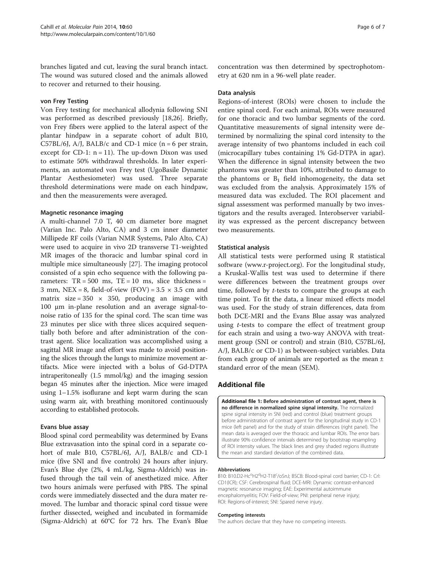<span id="page-5-0"></span>branches ligated and cut, leaving the sural branch intact. The wound was sutured closed and the animals allowed to recover and returned to their housing.

#### von Frey Testing

Von Frey testing for mechanical allodynia following SNI was performed as described previously [\[18,26\]](#page-6-0). Briefly, von Frey fibers were applied to the lateral aspect of the plantar hindpaw in a separate cohort of adult B10, C57BL/6J, A/J, BALB/c and CD-1 mice  $(n = 6$  per strain, except for CD-1:  $n = 11$ ). The up-down Dixon was used to estimate 50% withdrawal thresholds. In later experiments, an automated von Frey test (UgoBasile Dynamic Plantar Aesthesiometer) was used. Three separate threshold determinations were made on each hindpaw, and then the measurements were averaged.

#### Magnetic resonance imaging

A multi-channel 7.0 T, 40 cm diameter bore magnet (Varian Inc. Palo Alto, CA) and 3 cm inner diameter Millipede RF coils (Varian NMR Systems, Palo Alto, CA) were used to acquire in vivo 2D transverse T1-weighted MR images of the thoracic and lumbar spinal cord in multiple mice simultaneously [\[27](#page-6-0)]. The imaging protocol consisted of a spin echo sequence with the following parameters:  $TR = 500$  ms,  $TE = 10$  ms, slice thickness = 3 mm, NEX = 8, field-of-view (FOV) =  $3.5 \times 3.5$  cm and matrix size =  $350 \times 350$ , producing an image with 100 μm in-plane resolution and an average signal-tonoise ratio of 135 for the spinal cord. The scan time was 23 minutes per slice with three slices acquired sequentially both before and after administration of the contrast agent. Slice localization was accomplished using a sagittal MR image and effort was made to avoid positioning the slices through the lungs to minimize movement artifacts. Mice were injected with a bolus of Gd-DTPA intraperitoneally (1.5 mmol/kg) and the imaging session began 45 minutes after the injection. Mice were imaged using 1–1.5% isoflurane and kept warm during the scan using warm air, with breathing monitored continuously according to established protocols.

#### Evans blue assay

Blood spinal cord permeability was determined by Evans Blue extravasation into the spinal cord in a separate cohort of male B10, C57BL/6J, A/J, BALB/c and CD-1 mice (five SNI and five controls) 24 hours after injury. Evan's Blue dye (2%, 4 mL/kg, Sigma-Aldrich) was infused through the tail vein of anesthetized mice. After two hours animals were perfused with PBS. The spinal cords were immediately dissected and the dura mater removed. The lumbar and thoracic spinal cord tissue were further dissected, weighed and incubated in formamide (Sigma-Aldrich) at 60°C for 72 hrs. The Evan's Blue concentration was then determined by spectrophotometry at 620 nm in a 96-well plate reader.

#### Data analysis

Regions-of-interest (ROIs) were chosen to include the entire spinal cord. For each animal, ROIs were measured for one thoracic and two lumbar segments of the cord. Quantitative measurements of signal intensity were determined by normalizing the spinal cord intensity to the average intensity of two phantoms included in each coil (microcapillary tubes containing 1% Gd-DTPA in agar). When the difference in signal intensity between the two phantoms was greater than 10%, attributed to damage to the phantoms or  $B_1$  field inhomogeneity, the data set was excluded from the analysis. Approximately 15% of measured data was excluded. The ROI placement and signal assessment was performed manually by two investigators and the results averaged. Interobserver variability was expressed as the percent discrepancy between two measurements.

#### Statistical analysis

All statistical tests were performed using R statistical software ([www.r-project.org\)](http://www.r-project.org). For the longitudinal study, a Kruskal-Wallis test was used to determine if there were differences between the treatment groups over time, followed by *t*-tests to compare the groups at each time point. To fit the data, a linear mixed effects model was used. For the study of strain differences, data from both DCE-MRI and the Evans Blue assay was analyzed using t-tests to compare the effect of treatment group for each strain and using a two-way ANOVA with treatment group (SNI or control) and strain (B10, C57BL/6J, A/J, BALB/c or CD-1) as between-subject variables. Data from each group of animals are reported as the mean  $\pm$ standard error of the mean (SEM).

# Additional file

[Additional file 1:](http://www.biomedcentral.com/content/supplementary/1744-8069-10-60-S1.zip) Before administration of contrast agent, there is no difference in normalized spine signal intensity. The normalized spine signal intensity in SNI (red) and control (blue) treatment groups before administration of contrast agent for the longitudinal study in CD-1 mice (left panel) and for the study of strain differences (right panel). The mean data is averaged over the thoracic and lumbar ROIs. The error bars illustrate 90% confidence intervals determined by bootstrap resampling of ROI intensity values. The black lines and grey shaded regions illustrate the mean and standard deviation of the combined data.

#### Abbreviations

B10: B10.D2-Hc°H2<sup>d</sup>H2-T18<sup>c</sup>/oSnJ; BSCB: Blood-spinal cord barrier; CD-1: Crl CD1(ICR); CSF: Cerebrospinal fluid; DCE-MRI: Dynamic contrast-enhanced magnetic resonance imaging; EAE: Experimental autoimmune encephalomyelitis; FOV: Field-of-view; PNI: peripheral nerve injury; ROI: Regions-of-interest; SNI: Spared nerve injury.

#### Competing interests

The authors declare that they have no competing interests.